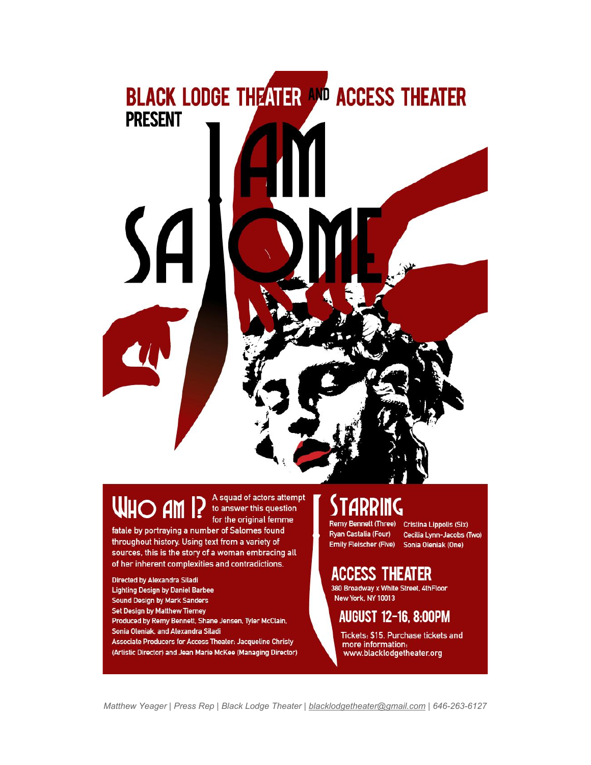

# **WHO AM 1?**

A squad of actors attempt to answer this question for the original femme

fatale by portraying a number of Salomes found throughout history. Using text from a variety of sources, this is the story of a woman embracing all of her inherent complexities and contradictions.

**Directed by Alexandra Siladi Lighting Design by Daniel Barbee** Sound Design by Mark Sanders Set Design by Matthew Tierney Produced by Remy Bennett, Shane Jensen, Tyler McClain, Sonia Oleniak, and Alexandra Siladi Associate Producers for Access Theater: Jacqueline Christy (Artistic Director) and Jean Marie McKee (Managing Director)

## STARRING

Ryan Castalia (Four)

Remy Bennett (Three) Cristina Lippolis (Six) Cecilia Lynn-Jacobs (Two) Emily Fleischer (Five) Sonia Oleniak (One)

## **ACCESS THEATER**

380 Broadway x White Street, 4thFloor **New York, NY 10013** 

### AUGUST 12-16, 8:00PM

Tickets: \$15. Purchase tickets and more information: www.blacklodgetheater.org

Matthew Yeager | Press Rep | Black Lodge Theater | blacklodgetheater@gmail.com | 646-263-6127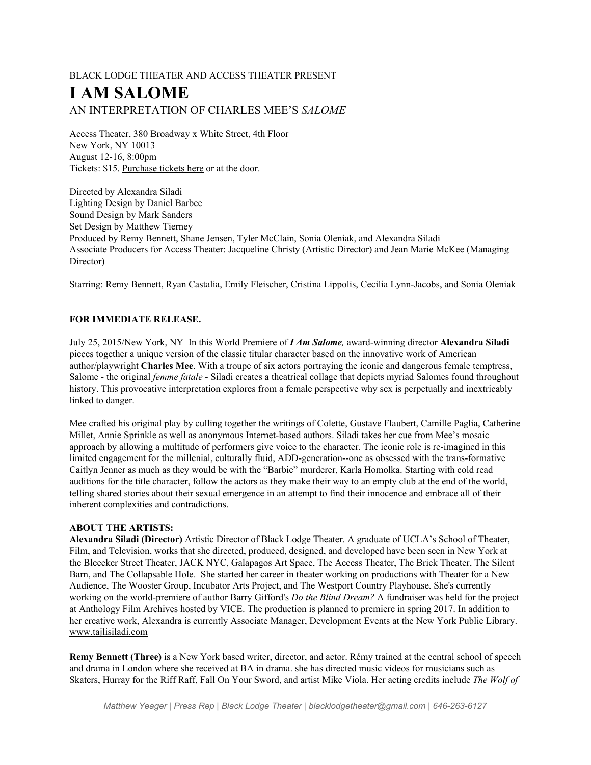#### BLACK LODGE THEATER AND ACCESS THEATER PRESENT **I AM SALOME** AN INTERPRETATION OF CHARLES MEE'S *SALOME*

Access Theater, 380 Broadway x White Street, 4th Floor New York, NY 10013 August 12-16, 8:00pm Tickets: \$15. [Purchase](https://www.artful.ly/store/events/6618) tickets here or at the door.

Directed by Alexandra Siladi Lighting Design by Daniel Barbee Sound Design by Mark Sanders Set Design by Matthew Tierney Produced by Remy Bennett, Shane Jensen, Tyler McClain, Sonia Oleniak, and Alexandra Siladi Associate Producers for Access Theater: Jacqueline Christy (Artistic Director) and Jean Marie McKee (Managing Director)

Starring: Remy Bennett, Ryan Castalia, Emily Fleischer, Cristina Lippolis, Cecilia Lynn-Jacobs, and Sonia Oleniak

#### **FOR IMMEDIATE RELEASE.**

July 25, 2015/New York, NY–In this World Premiere of *I Am Salome,* awardwinning director **Alexandra Siladi** pieces together a unique version of the classic titular character based on the innovative work of American author/playwright **Charles Mee**. With a troupe of six actors portraying the iconic and dangerous female temptress, Salome - the original *femme fatale* - Siladi creates a theatrical collage that depicts myriad Salomes found throughout history. This provocative interpretation explores from a female perspective why sex is perpetually and inextricably linked to danger.

Mee crafted his original play by culling together the writings of Colette, Gustave Flaubert, Camille Paglia, Catherine Millet, Annie Sprinkle as well as anonymous Internet-based authors. Siladi takes her cue from Mee's mosaic approach by allowing a multitude of performers give voice to the character. The iconic role is re-imagined in this limited engagement for the millenial, culturally fluid, ADD-generation-one as obsessed with the trans-formative Caitlyn Jenner as much as they would be with the "Barbie" murderer, Karla Homolka. Starting with cold read auditions for the title character, follow the actors as they make their way to an empty club at the end of the world, telling shared stories about their sexual emergence in an attempt to find their innocence and embrace all of their inherent complexities and contradictions.

#### **ABOUT THE ARTISTS:**

**Alexandra Siladi (Director)** Artistic Director of Black Lodge [Theater.](http://www.blacklodgetheater.org/) A graduate of UCLA's School of Theater, Film, and Television, works that she directed, produced, designed, and developed have been seen in New York at the Bleecker Street Theater, JACK NYC, Galapagos Art Space, The Access Theater, The Brick Theater, The Silent Barn, and The Collapsable Hole. She started her career in theater working on productions with Theater for a New Audience, The Wooster Group, Incubator Arts Project, and The Westport Country Playhouse. She's currently working on the world-premiere of author Barry Gifford's *Do the Blind Dream*? A fundraiser was held for the project at Anthology Film Archives hosted by VICE. The production is planned to premiere in spring 2017. In addition to her creative work, Alexandra is currently Associate Manager, Development Events at the New York Public Library. [www.tajlisiladi.com](http://www.tajlisiladi.com/)

**Remy Bennett (Three)** is a New York based writer, director, and actor. Rémy trained at the central school of speech and drama in London where she received at BA in drama. she has directed music videos for musicians such as Skaters, Hurray for the Riff Raff, Fall On Your Sword, and artist Mike Viola. Her acting credits include *The Wolf of*